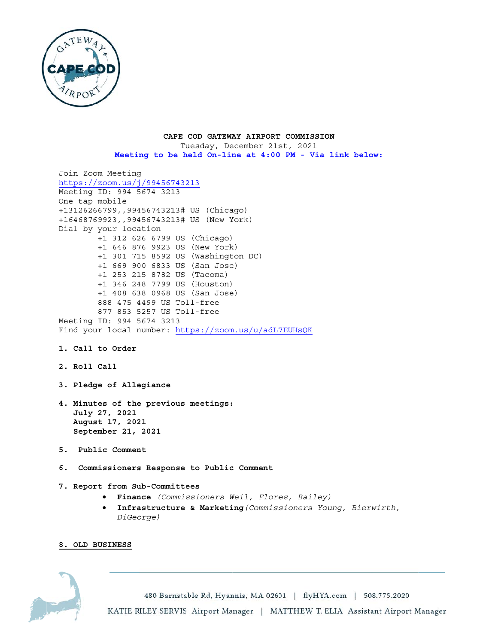

### CAPE COD GATEWAY AIRPORT COMMISSION Tuesday, December 21st, 2021

Meeting to be held On-line at 4:00 PM - Via link below:

```
Join Zoom Meeting
https://zoom.us/j/99456743213Meeting ID: 994 5674 3213
One tap mobile
+13126266799,,99456743213# US (Chicago)
+16468769923,,99456743213# US (New York)
Dial by your location
        +1 312 626 6799 US (Chicago)
        +1 646 876 9923 US (New York)
        +1 301 715 8592 US (Washington DC)
        +1 669 900 6833 US (San Jose)
        +1 253 215 8782 US (Tacoma)
        +1 346 248 7799 US (Houston)
        +1 408 638 0968 US (San Jose)
        888 475 4499 US Toll-free
        877 853 5257 US Toll-free
Meeting ID: 994 5674 3213
Find your local number: https://zoom.us/u/adL7EUHsQK
1. Call to Order
2. Roll Call
3. Pledge of Allegiance
4. Minutes of the previous meetings:
   July 27, 2021
   August 17, 2021
   September 21, 2021
5. Public Comment
6. Commissioners Response to Public Comment
7. Report from Sub-Committees
```
- · Finance (Commissioners Weil, Flores, Bailey)
- . Infrastructure & Marketing (Commissioners Young, Bierwirth, DiGeorge)

# 8. OLD BUSINESS



480 Barnstable Rd, Hyannis, MA 02601 | flyHYA.com | 508.775.2020 KATIE RILEY SERVIS Airport Manager | MATTHEW T. ELIA Assistant Airport Manager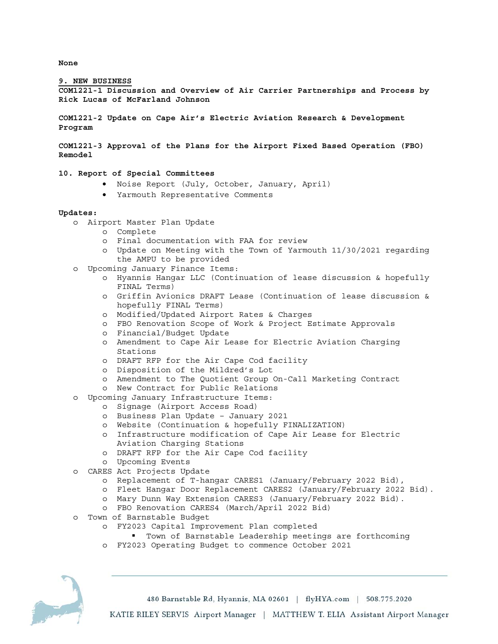**None** 

### **9. NEW BUSINESS**

**COM1221-1 Discussion and Overview of Air Carrier Partnerships and Process by Rick Lucas of McFarland Johnson** 

**COM1221-2 Update on Cape Air's Electric Aviation Research & Development Program** 

**COM1221-3 Approval of the Plans for the Airport Fixed Based Operation (FBO) Remodel** 

## **10. Report of Special Committees**

- Noise Report (July, October, January, April)
- Yarmouth Representative Comments

#### **Updates:**

- o Airport Master Plan Update
	- o Complete
	- o Final documentation with FAA for review
	- o Update on Meeting with the Town of Yarmouth 11/30/2021 regarding the AMPU to be provided
- o Upcoming January Finance Items:
	- o Hyannis Hangar LLC (Continuation of lease discussion & hopefully FINAL Terms)
	- o Griffin Avionics DRAFT Lease (Continuation of lease discussion & hopefully FINAL Terms)
	- o Modified/Updated Airport Rates & Charges
	- o FBO Renovation Scope of Work & Project Estimate Approvals
	- o Financial/Budget Update
	- o Amendment to Cape Air Lease for Electric Aviation Charging Stations
	- o DRAFT RFP for the Air Cape Cod facility
	- o Disposition of the Mildred's Lot
	- o Amendment to The Quotient Group On-Call Marketing Contract
	- o New Contract for Public Relations
- o Upcoming January Infrastructure Items:
	- o Signage (Airport Access Road)
	- o Business Plan Update January 2021
	- o Website (Continuation & hopefully FINALIZATION)
	- o Infrastructure modification of Cape Air Lease for Electric Aviation Charging Stations
	- o DRAFT RFP for the Air Cape Cod facility
	- o Upcoming Events
- o CARES Act Projects Update
	- o Replacement of T-hangar CARES1 (January/February 2022 Bid),
	- o Fleet Hangar Door Replacement CARES2 (January/February 2022 Bid).
	- o Mary Dunn Way Extension CARES3 (January/February 2022 Bid).
	- o FBO Renovation CARES4 (March/April 2022 Bid)
- o Town of Barnstable Budget
	- o FY2023 Capital Improvement Plan completed
		- Town of Barnstable Leadership meetings are forthcoming
	- o FY2023 Operating Budget to commence October 2021



480 Barnstable Rd, Hyannis, MA 02601 | flyHYA.com | 508.775.2020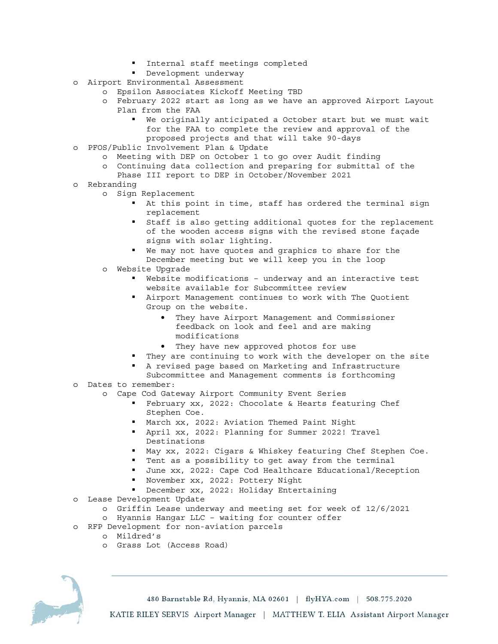- **Internal staff meetings completed**
- Development underway
- o Airport Environmental Assessment
	- o Epsilon Associates Kickoff Meeting TBD
	- o February 2022 start as long as we have an approved Airport Layout Plan from the FAA
		- We originally anticipated a October start but we must wait for the FAA to complete the review and approval of the proposed projects and that will take 90-days
- o PFOS/Public Involvement Plan & Update
	- o Meeting with DEP on October 1 to go over Audit finding
		- o Continuing data collection and preparing for submittal of the
		- Phase III report to DEP in October/November 2021
- o Rebranding
	- o Sign Replacement
		- At this point in time, staff has ordered the terminal sign replacement
		- Staff is also getting additional quotes for the replacement of the wooden access signs with the revised stone façade signs with solar lighting.
		- We may not have quotes and graphics to share for the December meeting but we will keep you in the loop
	- o Website Upgrade
		- Website modifications underway and an interactive test website available for Subcommittee review
		- Airport Management continues to work with The Quotient Group on the website.
			- They have Airport Management and Commissioner feedback on look and feel and are making modifications
			- They have new approved photos for use
		- They are continuing to work with the developer on the site
		- A revised page based on Marketing and Infrastructure
- Subcommittee and Management comments is forthcoming o Dates to remember:
- - o Cape Cod Gateway Airport Community Event Series
		- February xx, 2022: Chocolate & Hearts featuring Chef Stephen Coe.
		- March xx, 2022: Aviation Themed Paint Night
		- April xx, 2022: Planning for Summer 2022! Travel Destinations
		- May xx, 2022: Cigars & Whiskey featuring Chef Stephen Coe.
		- Tent as a possibility to get away from the terminal
		- June xx, 2022: Cape Cod Healthcare Educational/Reception
		- November xx, 2022: Pottery Night
		- December xx, 2022: Holiday Entertaining
- o Lease Development Update
	- o Griffin Lease underway and meeting set for week of 12/6/2021
	- o Hyannis Hangar LLC waiting for counter offer
- o RFP Development for non-aviation parcels
	- o Mildred's
	- o Grass Lot (Access Road)



480 Barnstable Rd, Hyannis, MA 02601 | flyHYA.com | 508.775.2020 KATIE RILEY SERVIS Airport Manager | MATTHEW T. ELIA Assistant Airport Manager